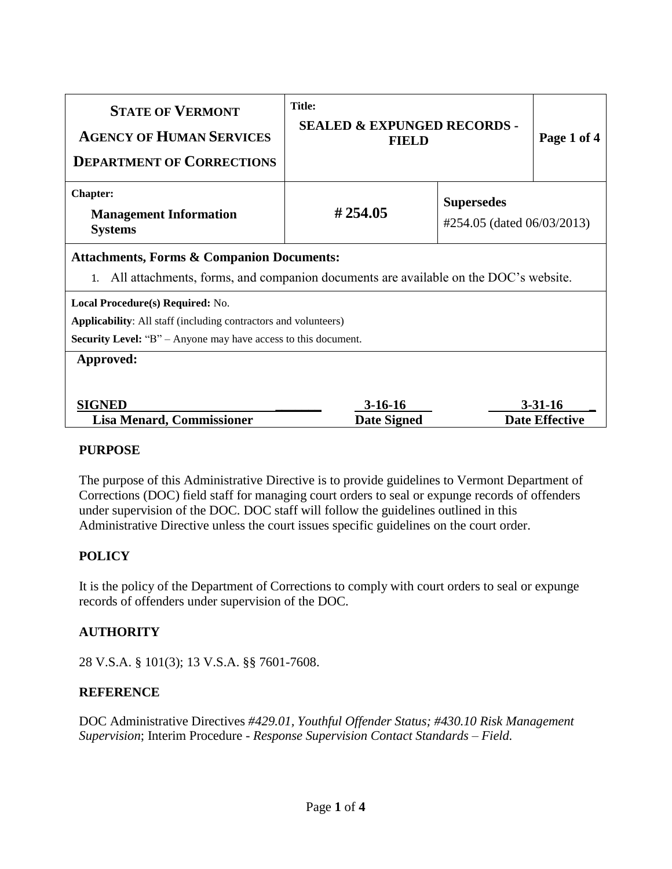| <b>STATE OF VERMONT</b><br><b>AGENCY OF HUMAN SERVICES</b><br><b>DEPARTMENT OF CORRECTIONS</b>                                                                                      | <b>Title:</b><br><b>SEALED &amp; EXPUNGED RECORDS -</b><br><b>FIELD</b> |                                                 | Page 1 of 4           |
|-------------------------------------------------------------------------------------------------------------------------------------------------------------------------------------|-------------------------------------------------------------------------|-------------------------------------------------|-----------------------|
| <b>Chapter:</b><br><b>Management Information</b><br><b>Systems</b>                                                                                                                  | #254.05                                                                 | <b>Supersedes</b><br>#254.05 (dated 06/03/2013) |                       |
| <b>Attachments, Forms &amp; Companion Documents:</b><br>All attachments, forms, and companion documents are available on the DOC's website.                                         |                                                                         |                                                 |                       |
| Local Procedure(s) Required: No.<br><b>Applicability:</b> All staff (including contractors and volunteers)<br><b>Security Level:</b> "B" – Anyone may have access to this document. |                                                                         |                                                 |                       |
| Approved:<br><b>SIGNED</b>                                                                                                                                                          | $3-16-16$                                                               |                                                 | $3 - 31 - 16$         |
| <b>Lisa Menard, Commissioner</b>                                                                                                                                                    | <b>Date Signed</b>                                                      |                                                 | <b>Date Effective</b> |

### **PURPOSE**

The purpose of this Administrative Directive is to provide guidelines to Vermont Department of Corrections (DOC) field staff for managing court orders to seal or expunge records of offenders under supervision of the DOC. DOC staff will follow the guidelines outlined in this Administrative Directive unless the court issues specific guidelines on the court order.

# **POLICY**

It is the policy of the Department of Corrections to comply with court orders to seal or expunge records of offenders under supervision of the DOC.

# **AUTHORITY**

28 V.S.A. § 101(3); 13 V.S.A. §§ 7601-7608.

## **REFERENCE**

DOC Administrative Directives *#429.01, Youthful Offender Status; #430.10 Risk Management Supervision*; Interim Procedure - *Response Supervision Contact Standards – Field.*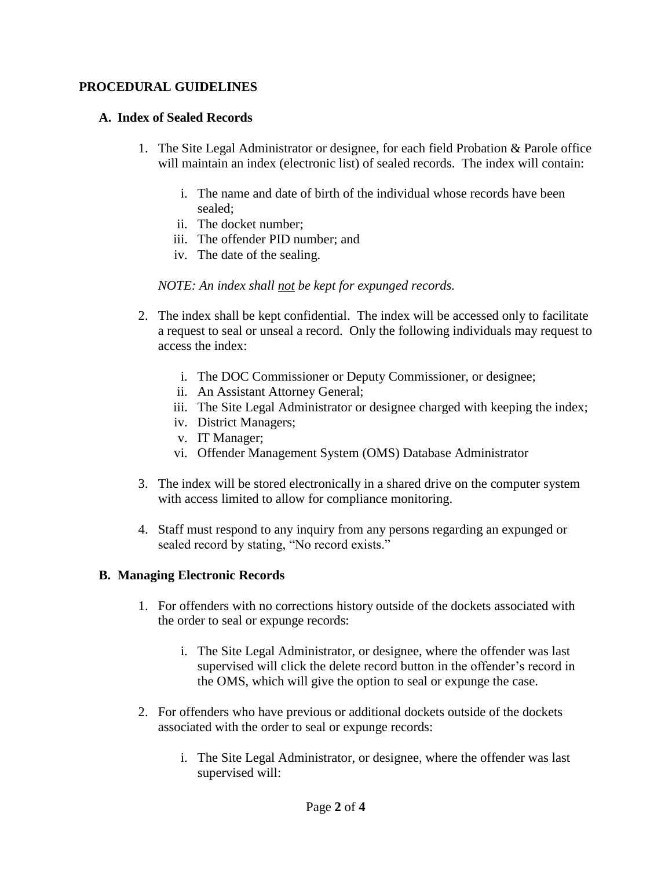### **PROCEDURAL GUIDELINES**

### **A. Index of Sealed Records**

- 1. The Site Legal Administrator or designee, for each field Probation & Parole office will maintain an index (electronic list) of sealed records. The index will contain:
	- i. The name and date of birth of the individual whose records have been sealed;
	- ii. The docket number;
	- iii. The offender PID number; and
	- iv. The date of the sealing.

### *NOTE: An index shall not be kept for expunged records.*

- 2. The index shall be kept confidential. The index will be accessed only to facilitate a request to seal or unseal a record. Only the following individuals may request to access the index:
	- i. The DOC Commissioner or Deputy Commissioner, or designee;
	- ii. An Assistant Attorney General;
	- iii. The Site Legal Administrator or designee charged with keeping the index;
	- iv. District Managers;
	- v. IT Manager;
	- vi. Offender Management System (OMS) Database Administrator
- 3. The index will be stored electronically in a shared drive on the computer system with access limited to allow for compliance monitoring.
- 4. Staff must respond to any inquiry from any persons regarding an expunged or sealed record by stating, "No record exists."

### **B. Managing Electronic Records**

- 1. For offenders with no corrections history outside of the dockets associated with the order to seal or expunge records:
	- i. The Site Legal Administrator, or designee, where the offender was last supervised will click the delete record button in the offender's record in the OMS, which will give the option to seal or expunge the case.
- 2. For offenders who have previous or additional dockets outside of the dockets associated with the order to seal or expunge records:
	- i. The Site Legal Administrator, or designee, where the offender was last supervised will: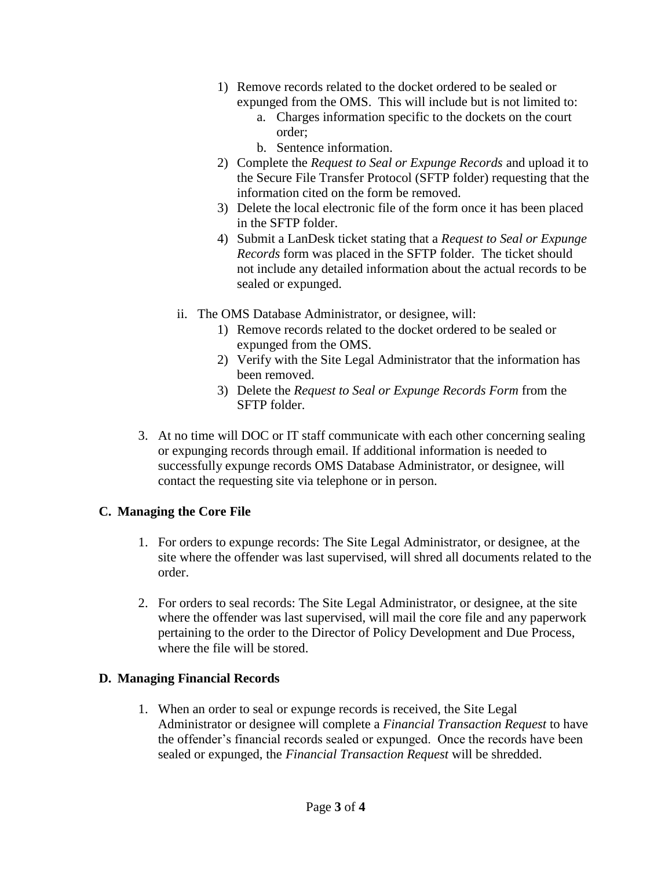- 1) Remove records related to the docket ordered to be sealed or expunged from the OMS. This will include but is not limited to:
	- a. Charges information specific to the dockets on the court order;
	- b. Sentence information.
- 2) Complete the *Request to Seal or Expunge Records* and upload it to the Secure File Transfer Protocol (SFTP folder) requesting that the information cited on the form be removed.
- 3) Delete the local electronic file of the form once it has been placed in the SFTP folder.
- 4) Submit a LanDesk ticket stating that a *Request to Seal or Expunge Records* form was placed in the SFTP folder. The ticket should not include any detailed information about the actual records to be sealed or expunged.
- ii. The OMS Database Administrator, or designee, will:
	- 1) Remove records related to the docket ordered to be sealed or expunged from the OMS.
	- 2) Verify with the Site Legal Administrator that the information has been removed.
	- 3) Delete the *Request to Seal or Expunge Records Form* from the SFTP folder.
- 3. At no time will DOC or IT staff communicate with each other concerning sealing or expunging records through email. If additional information is needed to successfully expunge records OMS Database Administrator, or designee, will contact the requesting site via telephone or in person.

# **C. Managing the Core File**

- 1. For orders to expunge records: The Site Legal Administrator, or designee, at the site where the offender was last supervised, will shred all documents related to the order.
- 2. For orders to seal records: The Site Legal Administrator, or designee, at the site where the offender was last supervised, will mail the core file and any paperwork pertaining to the order to the Director of Policy Development and Due Process, where the file will be stored.

# **D. Managing Financial Records**

1. When an order to seal or expunge records is received, the Site Legal Administrator or designee will complete a *Financial Transaction Request* to have the offender's financial records sealed or expunged. Once the records have been sealed or expunged, the *Financial Transaction Request* will be shredded.